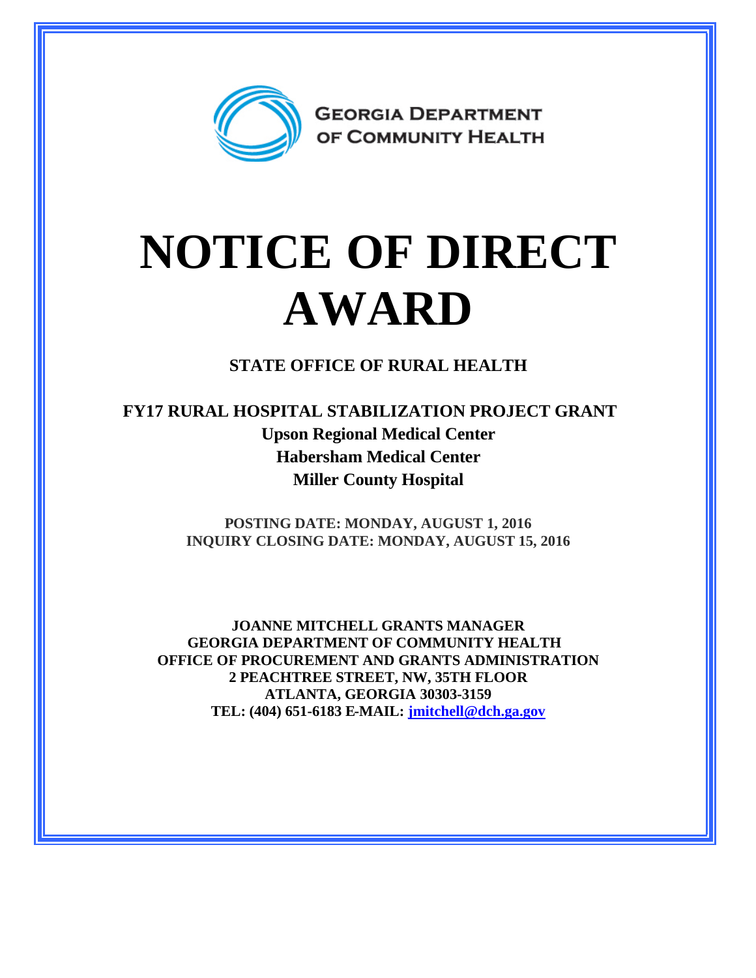

## **NOTICE OF DIRECT AWARD**

**STATE OFFICE OF RURAL HEALTH**

**FY17 RURAL HOSPITAL STABILIZATION PROJECT GRANT Upson Regional Medical Center Habersham Medical Center Miller County Hospital**

> **POSTING DATE: MONDAY, AUGUST 1, 2016 INQUIRY CLOSING DATE: MONDAY, AUGUST 15, 2016**

**JOANNE MITCHELL GRANTS MANAGER GEORGIA DEPARTMENT OF COMMUNITY HEALTH OFFICE OF PROCUREMENT AND GRANTS ADMINISTRATION 2 PEACHTREE STREET, NW, 35TH FLOOR ATLANTA, GEORGIA 30303-3159 TEL: (404) 651-6183 E-MAIL: [jmitchell@dch.ga.gov](mailto:jmitchell@dch.ga.gov)**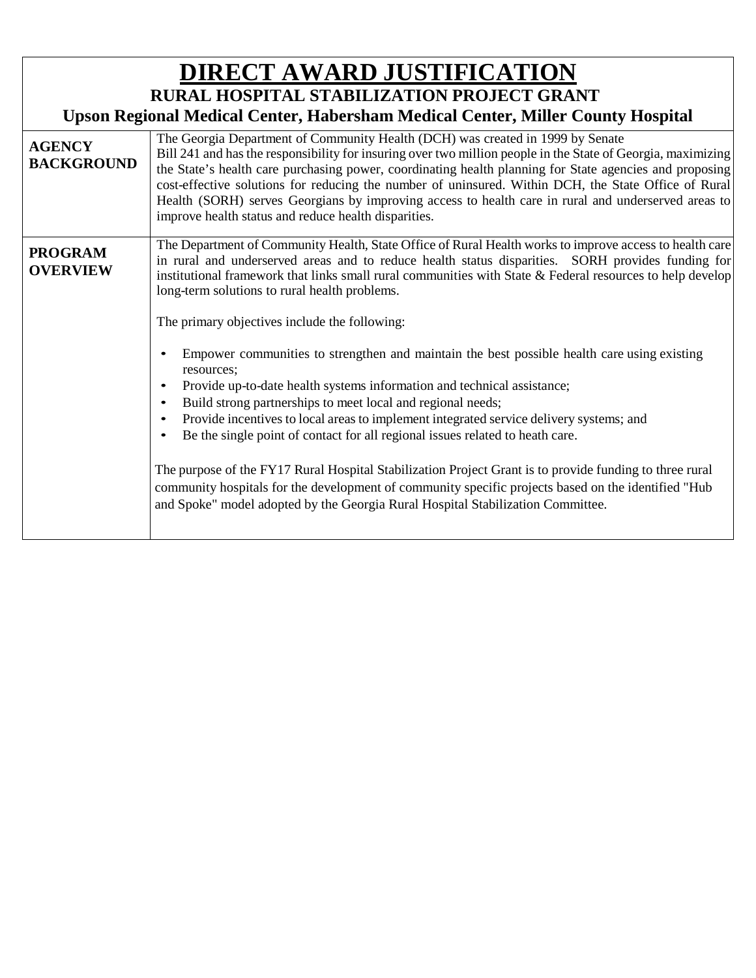| <b>DIRECT AWARD JUSTIFICATION</b>                                               |                                                                                                                                                                                                                                                                                                                                                                                                                                                                                                                                                                                                                                                                                                                                                   |  |
|---------------------------------------------------------------------------------|---------------------------------------------------------------------------------------------------------------------------------------------------------------------------------------------------------------------------------------------------------------------------------------------------------------------------------------------------------------------------------------------------------------------------------------------------------------------------------------------------------------------------------------------------------------------------------------------------------------------------------------------------------------------------------------------------------------------------------------------------|--|
| <b>RURAL HOSPITAL STABILIZATION PROJECT GRANT</b>                               |                                                                                                                                                                                                                                                                                                                                                                                                                                                                                                                                                                                                                                                                                                                                                   |  |
| Upson Regional Medical Center, Habersham Medical Center, Miller County Hospital |                                                                                                                                                                                                                                                                                                                                                                                                                                                                                                                                                                                                                                                                                                                                                   |  |
| <b>AGENCY</b><br><b>BACKGROUND</b>                                              | The Georgia Department of Community Health (DCH) was created in 1999 by Senate<br>Bill 241 and has the responsibility for insuring over two million people in the State of Georgia, maximizing<br>the State's health care purchasing power, coordinating health planning for State agencies and proposing<br>cost-effective solutions for reducing the number of uninsured. Within DCH, the State Office of Rural<br>Health (SORH) serves Georgians by improving access to health care in rural and underserved areas to<br>improve health status and reduce health disparities.                                                                                                                                                                  |  |
| <b>PROGRAM</b><br><b>OVERVIEW</b>                                               | The Department of Community Health, State Office of Rural Health works to improve access to health care<br>in rural and underserved areas and to reduce health status disparities. SORH provides funding for<br>institutional framework that links small rural communities with State & Federal resources to help develop<br>long-term solutions to rural health problems.<br>The primary objectives include the following:                                                                                                                                                                                                                                                                                                                       |  |
|                                                                                 | Empower communities to strengthen and maintain the best possible health care using existing<br>resources;<br>Provide up-to-date health systems information and technical assistance;<br>Build strong partnerships to meet local and regional needs;<br>Provide incentives to local areas to implement integrated service delivery systems; and<br>Be the single point of contact for all regional issues related to heath care.<br>$\bullet$<br>The purpose of the FY17 Rural Hospital Stabilization Project Grant is to provide funding to three rural<br>community hospitals for the development of community specific projects based on the identified "Hub<br>and Spoke" model adopted by the Georgia Rural Hospital Stabilization Committee. |  |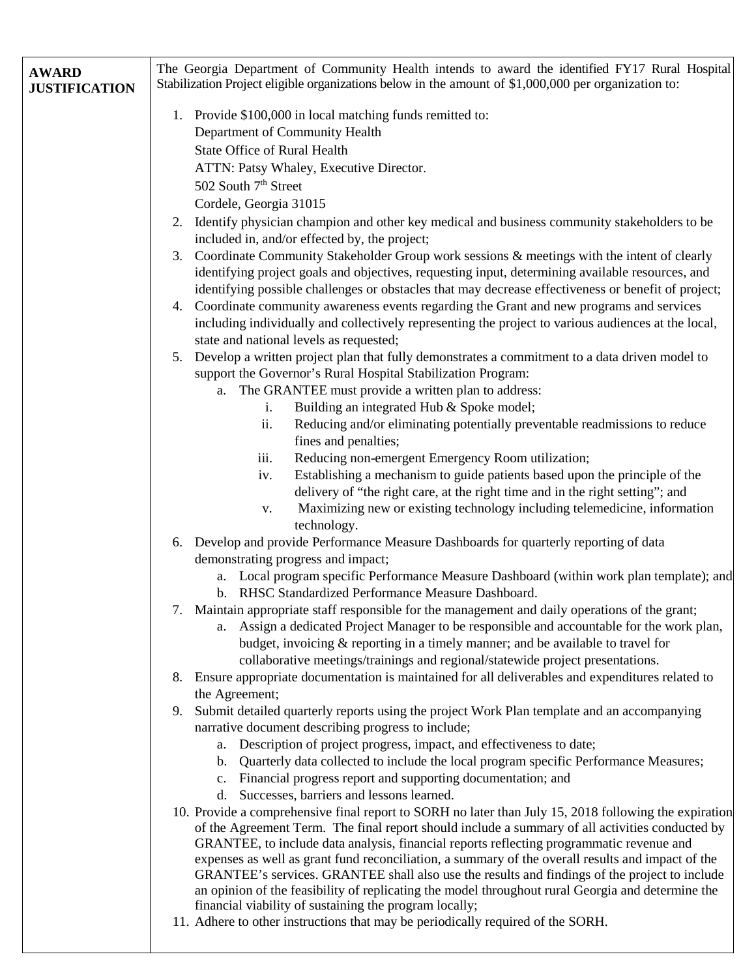| <b>AWARD</b><br><b>JUSTIFICATION</b> | The Georgia Department of Community Health intends to award the identified FY17 Rural Hospital<br>Stabilization Project eligible organizations below in the amount of \$1,000,000 per organization to:                                                                                                                                                                                                                                                                                                                                                           |
|--------------------------------------|------------------------------------------------------------------------------------------------------------------------------------------------------------------------------------------------------------------------------------------------------------------------------------------------------------------------------------------------------------------------------------------------------------------------------------------------------------------------------------------------------------------------------------------------------------------|
|                                      | 1. Provide \$100,000 in local matching funds remitted to:<br>Department of Community Health<br><b>State Office of Rural Health</b><br>ATTN: Patsy Whaley, Executive Director.<br>502 South 7 <sup>th</sup> Street<br>Cordele, Georgia 31015                                                                                                                                                                                                                                                                                                                      |
|                                      | 2. Identify physician champion and other key medical and business community stakeholders to be<br>included in, and/or effected by, the project;<br>Coordinate Community Stakeholder Group work sessions & meetings with the intent of clearly<br>3.<br>identifying project goals and objectives, requesting input, determining available resources, and<br>identifying possible challenges or obstacles that may decrease effectiveness or benefit of project;                                                                                                   |
|                                      | Coordinate community awareness events regarding the Grant and new programs and services<br>4.<br>including individually and collectively representing the project to various audiences at the local,<br>state and national levels as requested;<br>Develop a written project plan that fully demonstrates a commitment to a data driven model to<br>5.                                                                                                                                                                                                           |
|                                      | support the Governor's Rural Hospital Stabilization Program:<br>a. The GRANTEE must provide a written plan to address:<br>Building an integrated Hub & Spoke model;<br>i.<br>ii.<br>Reducing and/or eliminating potentially preventable readmissions to reduce<br>fines and penalties;                                                                                                                                                                                                                                                                           |
|                                      | Reducing non-emergent Emergency Room utilization;<br>iii.<br>Establishing a mechanism to guide patients based upon the principle of the<br>iv.<br>delivery of "the right care, at the right time and in the right setting"; and<br>Maximizing new or existing technology including telemedicine, information<br>V.                                                                                                                                                                                                                                               |
|                                      | technology.<br>Develop and provide Performance Measure Dashboards for quarterly reporting of data<br>6.<br>demonstrating progress and impact;<br>a. Local program specific Performance Measure Dashboard (within work plan template); and<br>b. RHSC Standardized Performance Measure Dashboard.                                                                                                                                                                                                                                                                 |
|                                      | 7. Maintain appropriate staff responsible for the management and daily operations of the grant;<br>a. Assign a dedicated Project Manager to be responsible and accountable for the work plan,<br>budget, invoicing & reporting in a timely manner; and be available to travel for<br>collaborative meetings/trainings and regional/statewide project presentations.                                                                                                                                                                                              |
|                                      | 8. Ensure appropriate documentation is maintained for all deliverables and expenditures related to<br>the Agreement;<br>Submit detailed quarterly reports using the project Work Plan template and an accompanying<br>9.<br>narrative document describing progress to include;<br>a. Description of project progress, impact, and effectiveness to date;                                                                                                                                                                                                         |
|                                      | Quarterly data collected to include the local program specific Performance Measures;<br>$\mathbf{b}$ .<br>Financial progress report and supporting documentation; and<br>$c_{\cdot}$<br>Successes, barriers and lessons learned.<br>d.<br>10. Provide a comprehensive final report to SORH no later than July 15, 2018 following the expiration                                                                                                                                                                                                                  |
|                                      | of the Agreement Term. The final report should include a summary of all activities conducted by<br>GRANTEE, to include data analysis, financial reports reflecting programmatic revenue and<br>expenses as well as grant fund reconciliation, a summary of the overall results and impact of the<br>GRANTEE's services. GRANTEE shall also use the results and findings of the project to include<br>an opinion of the feasibility of replicating the model throughout rural Georgia and determine the<br>financial viability of sustaining the program locally; |
|                                      |                                                                                                                                                                                                                                                                                                                                                                                                                                                                                                                                                                  |

11. Adhere to other instructions that may be periodically required of the SORH.